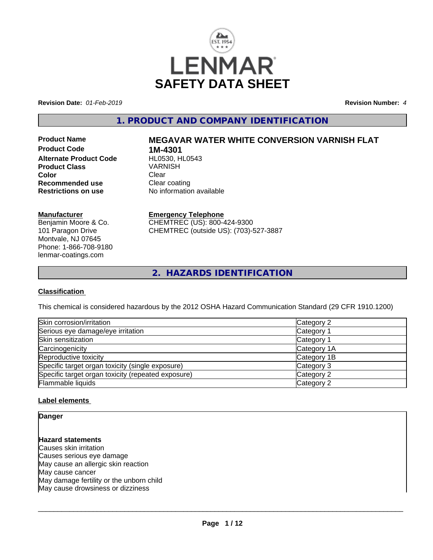

**Revision Date:** *01-Feb-2019* **Revision Number:** *4*

## **1. PRODUCT AND COMPANY IDENTIFICATION**

**Product Code 1M-4301**<br>**Alternate Product Code HL0530, HL0543 Alternate Product Code HL0530, H<br>Product Class Manual Mark Class Product Class** VARN<br> **Color** Clear **Color** Clear Clear **Recommended use Clear coating<br>
<b>Restrictions on use** No information

# **Product Name MEGAVAR WATER WHITE CONVERSION VARNISH FLAT**

**No information available** 

#### **Manufacturer**

Benjamin Moore & Co. 101 Paragon Drive Montvale, NJ 07645 Phone: 1-866-708-9180 lenmar-coatings.com

## **Emergency Telephone**

CHEMTREC (US): 800-424-9300 CHEMTREC (outside US): (703)-527-3887

**2. HAZARDS IDENTIFICATION**

### **Classification**

This chemical is considered hazardous by the 2012 OSHA Hazard Communication Standard (29 CFR 1910.1200)

| Skin corrosion/irritation                          | Category 2  |
|----------------------------------------------------|-------------|
| Serious eye damage/eye irritation                  | Category 1  |
| Skin sensitization                                 | Category 1  |
| Carcinogenicity                                    | Category 1A |
| Reproductive toxicity                              | Category 1B |
| Specific target organ toxicity (single exposure)   | Category 3  |
| Specific target organ toxicity (repeated exposure) | Category 2  |
| Flammable liquids                                  | Category 2  |

## **Label elements**

**Danger**

## **Hazard statements**

Causes skin irritation Causes serious eye damage May cause an allergic skin reaction May cause cancer May damage fertility or the unborn child May cause drowsiness or dizziness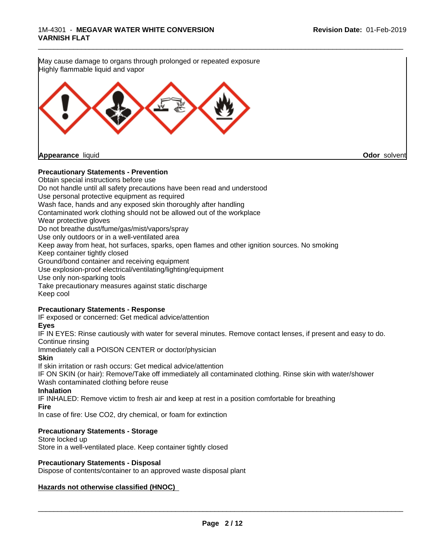

#### **Precautionary Statements - Prevention**

Obtain special instructions before use Do not handle until all safety precautions have been read and understood Use personal protective equipment as required Wash face, hands and any exposed skin thoroughly after handling Contaminated work clothing should not be allowed out of the workplace Wear protective gloves Do not breathe dust/fume/gas/mist/vapors/spray Use only outdoors or in a well-ventilated area Keep away from heat, hot surfaces, sparks, open flames and other ignition sources. No smoking Keep container tightly closed Ground/bond container and receiving equipment Use explosion-proof electrical/ventilating/lighting/equipment Use only non-sparking tools Take precautionary measures against static discharge Keep cool

#### **Precautionary Statements - Response**

IF exposed or concerned: Get medical advice/attention

## **Eyes**

IF IN EYES: Rinse cautiously with water forseveral minutes. Remove contact lenses, if present and easy to do. Continue rinsing

Immediately call a POISON CENTER or doctor/physician

**Skin**

If skin irritation or rash occurs: Get medical advice/attention

IF ON SKIN (or hair): Remove/Take off immediately all contaminated clothing. Rinse skin with water/shower Wash contaminated clothing before reuse

### **Inhalation**

IF INHALED: Remove victim to fresh air and keep at rest in a position comfortable for breathing

**Fire**

In case of fire: Use CO2, dry chemical, or foam for extinction

## **Precautionary Statements - Storage**

Store locked up

Store in a well-ventilated place. Keep container tightly closed

#### **Precautionary Statements - Disposal**

Dispose of contents/container to an approved waste disposal plant

## **Hazards not otherwise classified (HNOC)**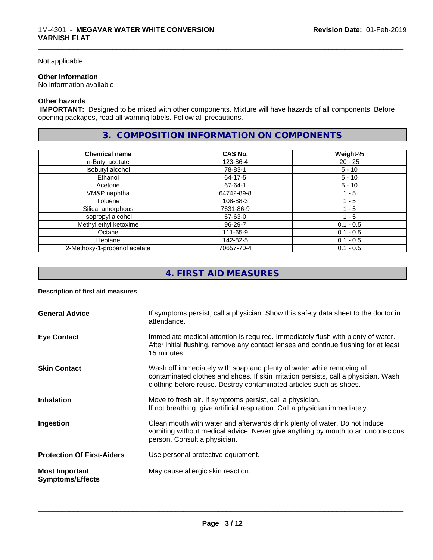#### Not applicable

#### **Other information**

No information available

## **Other hazards**

 **IMPORTANT:** Designed to be mixed with other components. Mixture will have hazards of all components. Before opening packages, read all warning labels. Follow all precautions.

## **3. COMPOSITION INFORMATION ON COMPONENTS**

\_\_\_\_\_\_\_\_\_\_\_\_\_\_\_\_\_\_\_\_\_\_\_\_\_\_\_\_\_\_\_\_\_\_\_\_\_\_\_\_\_\_\_\_\_\_\_\_\_\_\_\_\_\_\_\_\_\_\_\_\_\_\_\_\_\_\_\_\_\_\_\_\_\_\_\_\_\_\_\_\_\_\_\_\_\_\_\_\_\_\_\_\_

| <b>Chemical name</b>         | CAS No.    | Weight-%    |
|------------------------------|------------|-------------|
| n-Butyl acetate              | 123-86-4   | $20 - 25$   |
| Isobutyl alcohol             | 78-83-1    | $5 - 10$    |
| Ethanol                      | 64-17-5    | $5 - 10$    |
| Acetone                      | 67-64-1    | $5 - 10$    |
| VM&P naphtha                 | 64742-89-8 | 1 - 5       |
| Toluene                      | 108-88-3   | 1 - 5       |
| Silica, amorphous            | 7631-86-9  | $1 - 5$     |
| Isopropyl alcohol            | 67-63-0    | 1 - 5       |
| Methyl ethyl ketoxime        | 96-29-7    | $0.1 - 0.5$ |
| Octane                       | 111-65-9   | $0.1 - 0.5$ |
| Heptane                      | 142-82-5   | $0.1 - 0.5$ |
| 2-Methoxy-1-propanol acetate | 70657-70-4 | $0.1 - 0.5$ |

## **4. FIRST AID MEASURES**

## **Description of first aid measures**

| <b>General Advice</b>                            | If symptoms persist, call a physician. Show this safety data sheet to the doctor in<br>attendance.                                                                                                                                  |
|--------------------------------------------------|-------------------------------------------------------------------------------------------------------------------------------------------------------------------------------------------------------------------------------------|
| <b>Eye Contact</b>                               | Immediate medical attention is required. Immediately flush with plenty of water.<br>After initial flushing, remove any contact lenses and continue flushing for at least<br>15 minutes.                                             |
| <b>Skin Contact</b>                              | Wash off immediately with soap and plenty of water while removing all<br>contaminated clothes and shoes. If skin irritation persists, call a physician. Wash<br>clothing before reuse. Destroy contaminated articles such as shoes. |
| <b>Inhalation</b>                                | Move to fresh air. If symptoms persist, call a physician.<br>If not breathing, give artificial respiration. Call a physician immediately.                                                                                           |
| Ingestion                                        | Clean mouth with water and afterwards drink plenty of water. Do not induce<br>vomiting without medical advice. Never give anything by mouth to an unconscious<br>person. Consult a physician.                                       |
| <b>Protection Of First-Aiders</b>                | Use personal protective equipment.                                                                                                                                                                                                  |
| <b>Most Important</b><br><b>Symptoms/Effects</b> | May cause allergic skin reaction.                                                                                                                                                                                                   |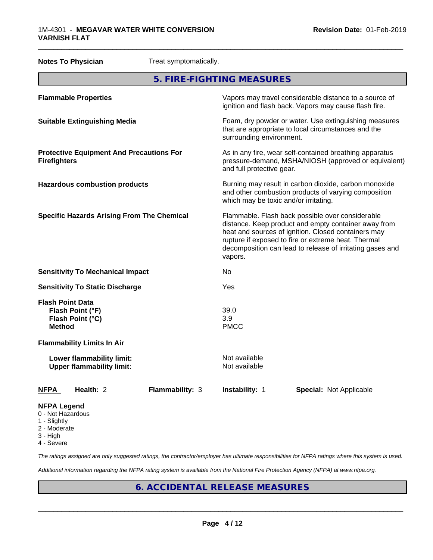|                                         | <b>Notes To Physician</b>                                       | Treat symptomatically. |                                                                                                                                                                                                                                                                                                |                                                                                                                 |
|-----------------------------------------|-----------------------------------------------------------------|------------------------|------------------------------------------------------------------------------------------------------------------------------------------------------------------------------------------------------------------------------------------------------------------------------------------------|-----------------------------------------------------------------------------------------------------------------|
| 5. FIRE-FIGHTING MEASURES               |                                                                 |                        |                                                                                                                                                                                                                                                                                                |                                                                                                                 |
|                                         | <b>Flammable Properties</b>                                     |                        |                                                                                                                                                                                                                                                                                                | Vapors may travel considerable distance to a source of<br>ignition and flash back. Vapors may cause flash fire. |
|                                         | <b>Suitable Extinguishing Media</b>                             |                        | Foam, dry powder or water. Use extinguishing measures<br>that are appropriate to local circumstances and the<br>surrounding environment.                                                                                                                                                       |                                                                                                                 |
| <b>Firefighters</b>                     | <b>Protective Equipment And Precautions For</b>                 |                        | As in any fire, wear self-contained breathing apparatus<br>pressure-demand, MSHA/NIOSH (approved or equivalent)<br>and full protective gear.                                                                                                                                                   |                                                                                                                 |
|                                         | <b>Hazardous combustion products</b>                            |                        | Burning may result in carbon dioxide, carbon monoxide<br>and other combustion products of varying composition<br>which may be toxic and/or irritating.                                                                                                                                         |                                                                                                                 |
|                                         | <b>Specific Hazards Arising From The Chemical</b>               |                        | Flammable. Flash back possible over considerable<br>distance. Keep product and empty container away from<br>heat and sources of ignition. Closed containers may<br>rupture if exposed to fire or extreme heat. Thermal<br>decomposition can lead to release of irritating gases and<br>vapors. |                                                                                                                 |
|                                         | <b>Sensitivity To Mechanical Impact</b>                         |                        | No                                                                                                                                                                                                                                                                                             |                                                                                                                 |
| <b>Sensitivity To Static Discharge</b>  |                                                                 | Yes                    |                                                                                                                                                                                                                                                                                                |                                                                                                                 |
| <b>Method</b>                           | <b>Flash Point Data</b><br>Flash Point (°F)<br>Flash Point (°C) |                        | 39.0<br>3.9<br><b>PMCC</b>                                                                                                                                                                                                                                                                     |                                                                                                                 |
|                                         | <b>Flammability Limits In Air</b>                               |                        |                                                                                                                                                                                                                                                                                                |                                                                                                                 |
|                                         | Lower flammability limit:<br><b>Upper flammability limit:</b>   |                        | Not available<br>Not available                                                                                                                                                                                                                                                                 |                                                                                                                 |
| NFPA                                    | Health: 2                                                       | Flammability: 3        | <b>Instability: 1</b>                                                                                                                                                                                                                                                                          | <b>Special: Not Applicable</b>                                                                                  |
| <b>NFPA Legend</b><br>0 - Not Hazardous |                                                                 |                        |                                                                                                                                                                                                                                                                                                |                                                                                                                 |

- 1 Slightly
- 2 Moderate
- 3 High
- 4 Severe

*The ratings assigned are only suggested ratings, the contractor/employer has ultimate responsibilities for NFPA ratings where this system is used.*

*Additional information regarding the NFPA rating system is available from the National Fire Protection Agency (NFPA) at www.nfpa.org.*

## **6. ACCIDENTAL RELEASE MEASURES**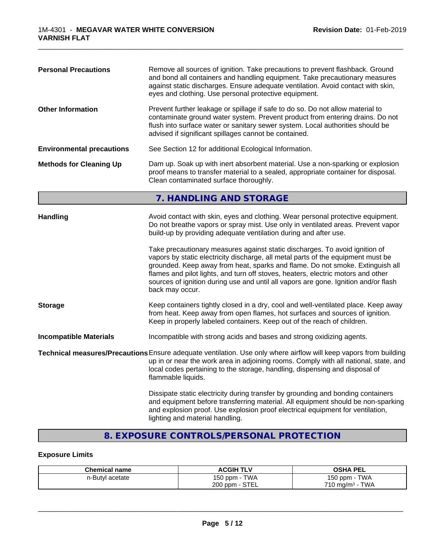| <b>Personal Precautions</b><br>Remove all sources of ignition. Take precautions to prevent flashback. Ground<br>and bond all containers and handling equipment. Take precautionary measures<br>against static discharges. Ensure adequate ventilation. Avoid contact with skin,<br>eyes and clothing. Use personal protective equipment.<br><b>Other Information</b><br>Prevent further leakage or spillage if safe to do so. Do not allow material to<br>contaminate ground water system. Prevent product from entering drains. Do not<br>flush into surface water or sanitary sewer system. Local authorities should be<br>advised if significant spillages cannot be contained. |                                                                                                                                                                                                                                                                                                                                                                                                                                                                                                                                                                                                                                                                                           |  |                                                                                           |
|------------------------------------------------------------------------------------------------------------------------------------------------------------------------------------------------------------------------------------------------------------------------------------------------------------------------------------------------------------------------------------------------------------------------------------------------------------------------------------------------------------------------------------------------------------------------------------------------------------------------------------------------------------------------------------|-------------------------------------------------------------------------------------------------------------------------------------------------------------------------------------------------------------------------------------------------------------------------------------------------------------------------------------------------------------------------------------------------------------------------------------------------------------------------------------------------------------------------------------------------------------------------------------------------------------------------------------------------------------------------------------------|--|-------------------------------------------------------------------------------------------|
|                                                                                                                                                                                                                                                                                                                                                                                                                                                                                                                                                                                                                                                                                    |                                                                                                                                                                                                                                                                                                                                                                                                                                                                                                                                                                                                                                                                                           |  | See Section 12 for additional Ecological Information.<br><b>Environmental precautions</b> |
| <b>Methods for Cleaning Up</b>                                                                                                                                                                                                                                                                                                                                                                                                                                                                                                                                                                                                                                                     | Dam up. Soak up with inert absorbent material. Use a non-sparking or explosion<br>proof means to transfer material to a sealed, appropriate container for disposal.<br>Clean contaminated surface thoroughly.                                                                                                                                                                                                                                                                                                                                                                                                                                                                             |  |                                                                                           |
|                                                                                                                                                                                                                                                                                                                                                                                                                                                                                                                                                                                                                                                                                    | 7. HANDLING AND STORAGE                                                                                                                                                                                                                                                                                                                                                                                                                                                                                                                                                                                                                                                                   |  |                                                                                           |
| Handling                                                                                                                                                                                                                                                                                                                                                                                                                                                                                                                                                                                                                                                                           | Avoid contact with skin, eyes and clothing. Wear personal protective equipment.<br>Do not breathe vapors or spray mist. Use only in ventilated areas. Prevent vapor<br>build-up by providing adequate ventilation during and after use.<br>Take precautionary measures against static discharges. To avoid ignition of<br>vapors by static electricity discharge, all metal parts of the equipment must be<br>grounded. Keep away from heat, sparks and flame. Do not smoke. Extinguish all<br>flames and pilot lights, and turn off stoves, heaters, electric motors and other<br>sources of ignition during use and until all vapors are gone. Ignition and/or flash<br>back may occur. |  |                                                                                           |
| <b>Storage</b>                                                                                                                                                                                                                                                                                                                                                                                                                                                                                                                                                                                                                                                                     | Keep containers tightly closed in a dry, cool and well-ventilated place. Keep away<br>from heat. Keep away from open flames, hot surfaces and sources of ignition.<br>Keep in properly labeled containers. Keep out of the reach of children.                                                                                                                                                                                                                                                                                                                                                                                                                                             |  |                                                                                           |
| <b>Incompatible Materials</b>                                                                                                                                                                                                                                                                                                                                                                                                                                                                                                                                                                                                                                                      | Incompatible with strong acids and bases and strong oxidizing agents.                                                                                                                                                                                                                                                                                                                                                                                                                                                                                                                                                                                                                     |  |                                                                                           |
|                                                                                                                                                                                                                                                                                                                                                                                                                                                                                                                                                                                                                                                                                    | Technical measures/Precautions Ensure adequate ventilation. Use only where airflow will keep vapors from building<br>up in or near the work area in adjoining rooms. Comply with all national, state, and<br>local codes pertaining to the storage, handling, dispensing and disposal of<br>flammable liquids.                                                                                                                                                                                                                                                                                                                                                                            |  |                                                                                           |
|                                                                                                                                                                                                                                                                                                                                                                                                                                                                                                                                                                                                                                                                                    | Dissipate static electricity during transfer by grounding and bonding containers<br>and equipment before transferring material. All equipment should be non-sparking<br>and explosion proof. Use explosion proof electrical equipment for ventilation,<br>lighting and material handling.                                                                                                                                                                                                                                                                                                                                                                                                 |  |                                                                                           |

\_\_\_\_\_\_\_\_\_\_\_\_\_\_\_\_\_\_\_\_\_\_\_\_\_\_\_\_\_\_\_\_\_\_\_\_\_\_\_\_\_\_\_\_\_\_\_\_\_\_\_\_\_\_\_\_\_\_\_\_\_\_\_\_\_\_\_\_\_\_\_\_\_\_\_\_\_\_\_\_\_\_\_\_\_\_\_\_\_\_\_\_\_

## **8. EXPOSURE CONTROLS/PERSONAL PROTECTION**

## **Exposure Limits**

| <b>Chemical name</b> | <b>ACGIH TLV</b>            | <b>OSHA PEL</b>                    |
|----------------------|-----------------------------|------------------------------------|
| n-Butyl acetate      | <b>TWA</b><br>150 ppm - 1   | <b>TWA</b><br>$150$ ppm $-$        |
|                      | $\cdot$ - STEL<br>$200$ ppm | <b>TWA</b><br>$710 \text{ mg/m}^3$ |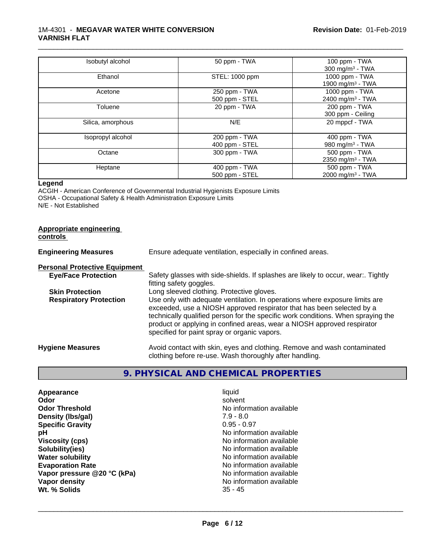| Isobutyl alcohol  | 50 ppm - TWA   | 100 ppm - TWA                |
|-------------------|----------------|------------------------------|
|                   |                | 300 mg/m $3$ - TWA           |
| Ethanol           | STEL: 1000 ppm | 1000 ppm - TWA               |
|                   |                | 1900 mg/m <sup>3</sup> - TWA |
| Acetone           | 250 ppm - TWA  | 1000 ppm - TWA               |
|                   | 500 ppm - STEL | 2400 mg/m <sup>3</sup> - TWA |
| Toluene           | 20 ppm - TWA   | 200 ppm - TWA                |
|                   |                | 300 ppm - Ceiling            |
| Silica, amorphous | N/E            | 20 mppcf - TWA               |
| Isopropyl alcohol | 200 ppm - TWA  | 400 ppm - TWA                |
|                   | 400 ppm - STEL | 980 mg/m $3$ - TWA           |
| Octane            | 300 ppm - TWA  | 500 ppm - TWA                |
|                   |                | 2350 mg/m <sup>3</sup> - TWA |
| Heptane           | 400 ppm - TWA  | 500 ppm - TWA                |
|                   | 500 ppm - STEL | 2000 mg/m <sup>3</sup> - TWA |

\_\_\_\_\_\_\_\_\_\_\_\_\_\_\_\_\_\_\_\_\_\_\_\_\_\_\_\_\_\_\_\_\_\_\_\_\_\_\_\_\_\_\_\_\_\_\_\_\_\_\_\_\_\_\_\_\_\_\_\_\_\_\_\_\_\_\_\_\_\_\_\_\_\_\_\_\_\_\_\_\_\_\_\_\_\_\_\_\_\_\_\_\_

#### **Legend**

ACGIH - American Conference of Governmental Industrial Hygienists Exposure Limits OSHA - Occupational Safety & Health Administration Exposure Limits N/E - Not Established

#### **Appropriate engineering controls**

| <b>Engineering Measures</b>          | Ensure adequate ventilation, especially in confined areas.                                                                                                                                                                                                                                                                                                          |  |
|--------------------------------------|---------------------------------------------------------------------------------------------------------------------------------------------------------------------------------------------------------------------------------------------------------------------------------------------------------------------------------------------------------------------|--|
| <b>Personal Protective Equipment</b> |                                                                                                                                                                                                                                                                                                                                                                     |  |
| <b>Eye/Face Protection</b>           | Safety glasses with side-shields. If splashes are likely to occur, wear:. Tightly<br>fitting safety goggles.                                                                                                                                                                                                                                                        |  |
| <b>Skin Protection</b>               | Long sleeved clothing. Protective gloves.                                                                                                                                                                                                                                                                                                                           |  |
| <b>Respiratory Protection</b>        | Use only with adequate ventilation. In operations where exposure limits are<br>exceeded, use a NIOSH approved respirator that has been selected by a<br>technically qualified person for the specific work conditions. When spraying the<br>product or applying in confined areas, wear a NIOSH approved respirator<br>specified for paint spray or organic vapors. |  |
| <b>Hygiene Measures</b>              | Avoid contact with skin, eyes and clothing. Remove and wash contaminated<br>clothing before re-use. Wash thoroughly after handling.                                                                                                                                                                                                                                 |  |

## **9. PHYSICAL AND CHEMICAL PROPERTIES**

| Appearance                  | liquid                   |
|-----------------------------|--------------------------|
| Odor                        | solvent                  |
| <b>Odor Threshold</b>       | No information available |
| Density (Ibs/gal)           | $7.9 - 8.0$              |
| <b>Specific Gravity</b>     | $0.95 - 0.97$            |
| рH                          | No information available |
| <b>Viscosity (cps)</b>      | No information available |
| Solubility(ies)             | No information available |
| <b>Water solubility</b>     | No information available |
| <b>Evaporation Rate</b>     | No information available |
| Vapor pressure @20 °C (kPa) | No information available |
| Vapor density               | No information available |
| Wt. % Solids                | $35 - 45$                |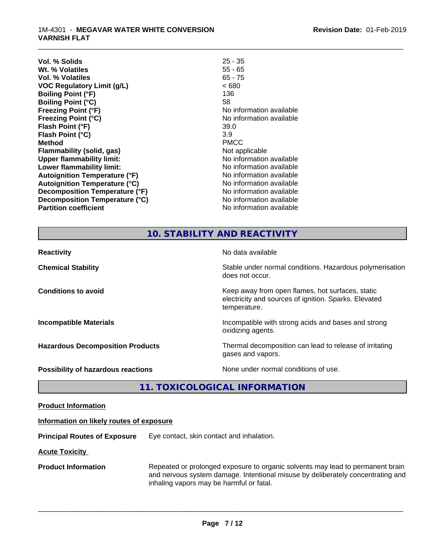#### 1M-4301 - **MEGAVAR WATER WHITE CONVERSION VARNISH FLAT**

| Vol. % Solids                        | $25 - 35$                |
|--------------------------------------|--------------------------|
| Wt. % Volatiles                      | $55 - 65$                |
| Vol. % Volatiles                     | $65 - 75$                |
| <b>VOC Regulatory Limit (g/L)</b>    | ~< 680                   |
| <b>Boiling Point (°F)</b>            | 136                      |
| <b>Boiling Point (°C)</b>            | 58                       |
| <b>Freezing Point (°F)</b>           | No information available |
| <b>Freezing Point (°C)</b>           | No information available |
| Flash Point (°F)                     | 39.0                     |
| Flash Point (°C)                     | 3.9                      |
| <b>Method</b>                        | <b>PMCC</b>              |
| Flammability (solid, gas)            | Not applicable           |
| <b>Upper flammability limit:</b>     | No information available |
| Lower flammability limit:            | No information available |
| <b>Autoignition Temperature (°F)</b> | No information available |
| <b>Autoignition Temperature (°C)</b> | No information available |
| Decomposition Temperature (°F)       | No information available |
| Decomposition Temperature (°C)       | No information available |
| <b>Partition coefficient</b>         | No information available |
|                                      |                          |

\_\_\_\_\_\_\_\_\_\_\_\_\_\_\_\_\_\_\_\_\_\_\_\_\_\_\_\_\_\_\_\_\_\_\_\_\_\_\_\_\_\_\_\_\_\_\_\_\_\_\_\_\_\_\_\_\_\_\_\_\_\_\_\_\_\_\_\_\_\_\_\_\_\_\_\_\_\_\_\_\_\_\_\_\_\_\_\_\_\_\_\_\_

## **10. STABILITY AND REACTIVITY**

| <b>Reactivity</b>                         | No data available                                                                                                         |
|-------------------------------------------|---------------------------------------------------------------------------------------------------------------------------|
| <b>Chemical Stability</b>                 | Stable under normal conditions. Hazardous polymerisation<br>does not occur.                                               |
| <b>Conditions to avoid</b>                | Keep away from open flames, hot surfaces, static<br>electricity and sources of ignition. Sparks. Elevated<br>temperature. |
| <b>Incompatible Materials</b>             | Incompatible with strong acids and bases and strong<br>oxidizing agents.                                                  |
| <b>Hazardous Decomposition Products</b>   | Thermal decomposition can lead to release of irritating<br>gases and vapors.                                              |
| <b>Possibility of hazardous reactions</b> | None under normal conditions of use.                                                                                      |

**11. TOXICOLOGICAL INFORMATION**

**Product Information**

#### **Information on likely routes of exposure**

**Principal Routes of Exposure** Eye contact, skin contact and inhalation.

**Acute Toxicity** 

**Product Information** Repeated or prolonged exposure to organic solvents may lead to permanent brain and nervous system damage. Intentional misuse by deliberately concentrating and inhaling vapors may be harmful or fatal.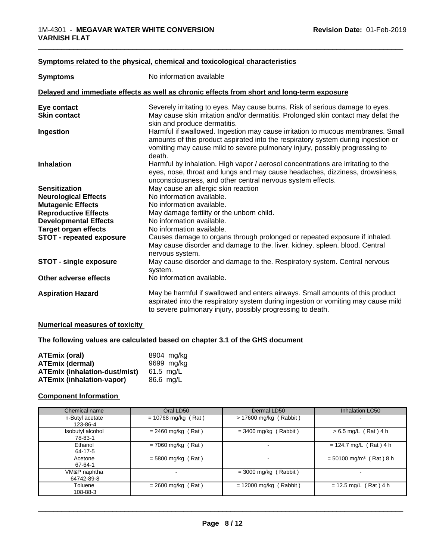### **<u>Symptoms related to the physical, chemical and toxicological characteristics</u>**

| <b>Symptoms</b>                 | No information available                                                                                                                                                                                                                                      |  |
|---------------------------------|---------------------------------------------------------------------------------------------------------------------------------------------------------------------------------------------------------------------------------------------------------------|--|
|                                 | Delayed and immediate effects as well as chronic effects from short and long-term exposure                                                                                                                                                                    |  |
| Eye contact                     | Severely irritating to eyes. May cause burns. Risk of serious damage to eyes.                                                                                                                                                                                 |  |
| <b>Skin contact</b>             | May cause skin irritation and/or dermatitis. Prolonged skin contact may defat the<br>skin and produce dermatitis.                                                                                                                                             |  |
| Ingestion                       | Harmful if swallowed. Ingestion may cause irritation to mucous membranes. Small<br>amounts of this product aspirated into the respiratory system during ingestion or<br>vomiting may cause mild to severe pulmonary injury, possibly progressing to<br>death. |  |
| <b>Inhalation</b>               | Harmful by inhalation. High vapor / aerosol concentrations are irritating to the<br>eyes, nose, throat and lungs and may cause headaches, dizziness, drowsiness,<br>unconsciousness, and other central nervous system effects.                                |  |
| <b>Sensitization</b>            | May cause an allergic skin reaction                                                                                                                                                                                                                           |  |
| <b>Neurological Effects</b>     | No information available.                                                                                                                                                                                                                                     |  |
| <b>Mutagenic Effects</b>        | No information available.                                                                                                                                                                                                                                     |  |
| <b>Reproductive Effects</b>     | May damage fertility or the unborn child.                                                                                                                                                                                                                     |  |
| <b>Developmental Effects</b>    | No information available.                                                                                                                                                                                                                                     |  |
| <b>Target organ effects</b>     | No information available.                                                                                                                                                                                                                                     |  |
| <b>STOT - repeated exposure</b> | Causes damage to organs through prolonged or repeated exposure if inhaled.<br>May cause disorder and damage to the. liver. kidney. spleen. blood. Central<br>nervous system.                                                                                  |  |
| <b>STOT - single exposure</b>   | May cause disorder and damage to the. Respiratory system. Central nervous<br>system.                                                                                                                                                                          |  |
| Other adverse effects           | No information available.                                                                                                                                                                                                                                     |  |
| <b>Aspiration Hazard</b>        | May be harmful if swallowed and enters airways. Small amounts of this product<br>aspirated into the respiratory system during ingestion or vomiting may cause mild<br>to severe pulmonary injury, possibly progressing to death.                              |  |

### **Numerical measures of toxicity**

### **The following values are calculated based on chapter 3.1 of the GHS document**

| ATEmix (oral)                        | 8904 mg/ka |
|--------------------------------------|------------|
| <b>ATEmix (dermal)</b>               | 9699 mg/kg |
| <b>ATEmix (inhalation-dust/mist)</b> | 61.5 ma/L  |
| <b>ATEmix (inhalation-vapor)</b>     | 86.6 mg/L  |

### **Component Information**

| Chemical name               | Oral LD50             | Dermal LD50              | Inhalation LC50                       |
|-----------------------------|-----------------------|--------------------------|---------------------------------------|
| n-Butyl acetate<br>123-86-4 | $= 10768$ mg/kg (Rat) | $> 17600$ mg/kg (Rabbit) |                                       |
| Isobutyl alcohol<br>78-83-1 | $= 2460$ mg/kg (Rat)  | $=$ 3400 mg/kg (Rabbit)  | $> 6.5$ mg/L (Rat) 4 h                |
| Ethanol<br>64-17-5          | $= 7060$ mg/kg (Rat)  | $\overline{\phantom{a}}$ | $= 124.7$ mg/L (Rat) 4 h              |
| Acetone<br>67-64-1          | $= 5800$ mg/kg (Rat)  |                          | $= 50100$ mg/m <sup>3</sup> (Rat) 8 h |
| VM&P naphtha<br>64742-89-8  |                       | $=$ 3000 mg/kg (Rabbit)  |                                       |
| Toluene<br>108-88-3         | $= 2600$ mg/kg (Rat)  | $= 12000$ mg/kg (Rabbit) | $= 12.5$ mg/L (Rat) 4 h               |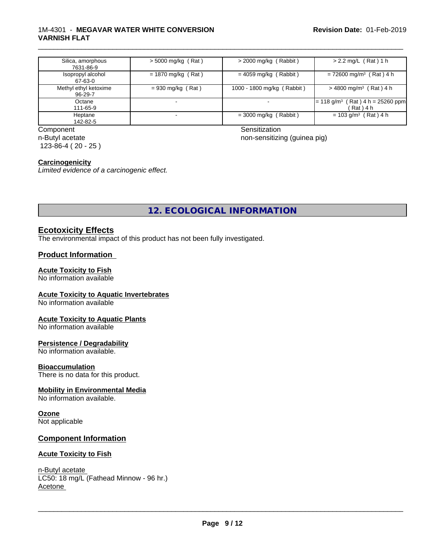### 1M-4301 - **MEGAVAR WATER WHITE CONVERSION VARNISH FLAT**

| Silica, amorphous<br>7631-86-9   | $>$ 5000 mg/kg (Rat) | $>$ 2000 mg/kg (Rabbit)    | $> 2.2$ mg/L (Rat) 1 h                                          |
|----------------------------------|----------------------|----------------------------|-----------------------------------------------------------------|
| Isopropyl alcohol<br>67-63-0     | $= 1870$ mg/kg (Rat) | $= 4059$ mg/kg (Rabbit)    | $= 72600$ mg/m <sup>3</sup> (Rat) 4 h                           |
| Methyl ethyl ketoxime<br>96-29-7 | $= 930$ mg/kg (Rat)  | 1000 - 1800 mg/kg (Rabbit) | $>$ 4800 mg/m <sup>3</sup> (Rat) 4 h                            |
| Octane<br>111-65-9               |                      |                            | $(Rat)$ 4 h = 25260 ppm<br>$= 118$ g/m <sup>3</sup><br>(Rat)4 h |
| Heptane<br>142-82-5              |                      | $=$ 3000 mg/kg (Rabbit)    | $= 103$ g/m <sup>3</sup> (Rat) 4 h                              |

#### Component Sensitization n-Butyl acetate 123-86-4 ( 20 - 25 )

non-sensitizing (guinea pig)

\_\_\_\_\_\_\_\_\_\_\_\_\_\_\_\_\_\_\_\_\_\_\_\_\_\_\_\_\_\_\_\_\_\_\_\_\_\_\_\_\_\_\_\_\_\_\_\_\_\_\_\_\_\_\_\_\_\_\_\_\_\_\_\_\_\_\_\_\_\_\_\_\_\_\_\_\_\_\_\_\_\_\_\_\_\_\_\_\_\_\_\_\_

## **Carcinogenicity**

*Limited evidence of a carcinogenic effect.*

**12. ECOLOGICAL INFORMATION**

## **Ecotoxicity Effects**

The environmental impact of this product has not been fully investigated.

## **Product Information**

## **Acute Toxicity to Fish**

No information available

#### **Acute Toxicity to Aquatic Invertebrates**

No information available

#### **Acute Toxicity to Aquatic Plants**

No information available

#### **Persistence / Degradability**

No information available.

#### **Bioaccumulation**

There is no data for this product.

#### **Mobility in Environmental Media**

No information available.

## **Ozone**

Not applicable

## **Component Information**

#### **Acute Toxicity to Fish**

## n-Butyl acetate

LC50: 18 mg/L (Fathead Minnow - 96 hr.) Acetone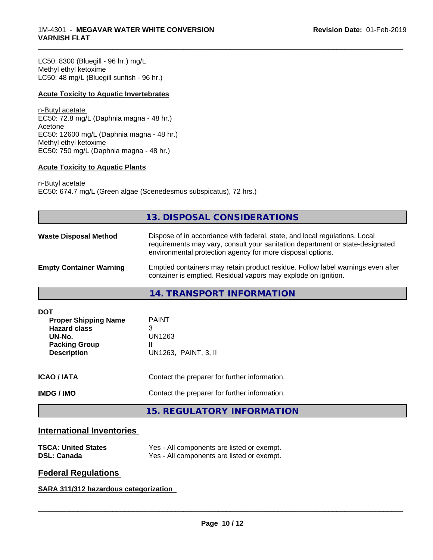### 1M-4301 - **MEGAVAR WATER WHITE CONVERSION VARNISH FLAT**

LC50: 8300 (Bluegill - 96 hr.) mg/L Methyl ethyl ketoxime LC50: 48 mg/L (Bluegill sunfish - 96 hr.)

### **Acute Toxicity to Aquatic Invertebrates**

n-Butyl acetate EC50: 72.8 mg/L (Daphnia magna - 48 hr.) Acetone EC50: 12600 mg/L (Daphnia magna - 48 hr.) Methyl ethyl ketoxime EC50: 750 mg/L (Daphnia magna - 48 hr.)

### **Acute Toxicity to Aquatic Plants**

n-Butyl acetate EC50: 674.7 mg/L (Green algae (Scenedesmus subspicatus), 72 hrs.)

## **13. DISPOSAL CONSIDERATIONS**

\_\_\_\_\_\_\_\_\_\_\_\_\_\_\_\_\_\_\_\_\_\_\_\_\_\_\_\_\_\_\_\_\_\_\_\_\_\_\_\_\_\_\_\_\_\_\_\_\_\_\_\_\_\_\_\_\_\_\_\_\_\_\_\_\_\_\_\_\_\_\_\_\_\_\_\_\_\_\_\_\_\_\_\_\_\_\_\_\_\_\_\_\_

| <b>Waste Disposal Method</b>   | Dispose of in accordance with federal, state, and local regulations. Local<br>requirements may vary, consult your sanitation department or state-designated<br>environmental protection agency for more disposal options. |
|--------------------------------|---------------------------------------------------------------------------------------------------------------------------------------------------------------------------------------------------------------------------|
| <b>Empty Container Warning</b> | Emptied containers may retain product residue. Follow label warnings even after<br>container is emptied. Residual vapors may explode on ignition.                                                                         |

**14. TRANSPORT INFORMATION**

| DOT<br><b>Proper Shipping Name</b><br><b>Hazard class</b><br>UN-No.<br><b>Packing Group</b><br><b>Description</b> | <b>PAINT</b><br>3<br>UN1263<br>Ш<br>UN1263, PAINT, 3, II |
|-------------------------------------------------------------------------------------------------------------------|----------------------------------------------------------|
| <b>ICAO/IATA</b>                                                                                                  | Contact the preparer for further information.            |
| <b>IMDG / IMO</b>                                                                                                 | Contact the preparer for further information.            |
|                                                                                                                   | <b>15. REGULATORY INFORMATION</b>                        |

## **International Inventories**

| <b>TSCA: United States</b> | Yes - All components are listed or exempt. |
|----------------------------|--------------------------------------------|
| <b>DSL: Canada</b>         | Yes - All components are listed or exempt. |

## **Federal Regulations**

**SARA 311/312 hazardous categorization**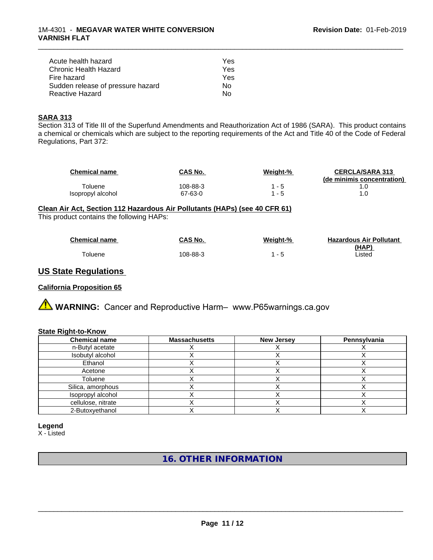| Acute health hazard               | Yes |  |
|-----------------------------------|-----|--|
| Chronic Health Hazard             | Yes |  |
| Fire hazard                       | Yes |  |
| Sudden release of pressure hazard | Nο  |  |
| Reactive Hazard                   | N٥  |  |

### **SARA 313**

Section 313 of Title III of the Superfund Amendments and Reauthorization Act of 1986 (SARA). This product contains a chemical or chemicals which are subject to the reporting requirements of the Act and Title 40 of the Code of Federal Regulations, Part 372:

| <b>Chemical name</b> | CAS No.  | Weight-% | <b>CERCLA/SARA 313</b><br>(de minimis concentration) |
|----------------------|----------|----------|------------------------------------------------------|
| Toluene              | 108-88-3 | - 5      |                                                      |
| Isopropyl alcohol    | 67-63-0  | - 5      |                                                      |

\_\_\_\_\_\_\_\_\_\_\_\_\_\_\_\_\_\_\_\_\_\_\_\_\_\_\_\_\_\_\_\_\_\_\_\_\_\_\_\_\_\_\_\_\_\_\_\_\_\_\_\_\_\_\_\_\_\_\_\_\_\_\_\_\_\_\_\_\_\_\_\_\_\_\_\_\_\_\_\_\_\_\_\_\_\_\_\_\_\_\_\_\_

## **Clean Air Act,Section 112 Hazardous Air Pollutants (HAPs) (see 40 CFR 61)**

This product contains the following HAPs:

| <b>Chemical name</b> | CAS No.  | Weight-% | <b>Hazardous Air Pollutant</b> |
|----------------------|----------|----------|--------------------------------|
|                      |          |          | (HAP)                          |
| <b>Foluene</b>       | 108-88-3 |          | Listed                         |

## **US State Regulations**

### **California Proposition 65**

**AVIMARNING:** Cancer and Reproductive Harm– www.P65warnings.ca.gov

#### **State Right-to-Know**

| <b>Chemical name</b> | <b>Massachusetts</b> | <b>New Jersey</b> | Pennsylvania |
|----------------------|----------------------|-------------------|--------------|
| n-Butyl acetate      |                      |                   |              |
| Isobutyl alcohol     |                      |                   |              |
| Ethanol              |                      |                   |              |
| Acetone              |                      |                   |              |
| Toluene              |                      |                   |              |
| Silica, amorphous    |                      |                   |              |
| Isopropyl alcohol    |                      |                   |              |
| cellulose, nitrate   |                      |                   |              |
| 2-Butoxyethanol      |                      |                   |              |

#### **Legend**

X - Listed

**16. OTHER INFORMATION**